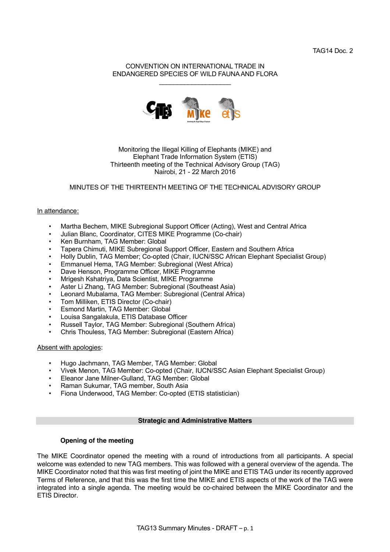TAG14 Doc. 2

#### CONVENTION ON INTERNATIONAL TRADE IN ENDANGERED SPECIES OF WILD FAUNA AND FLORA  $\mathcal{L}_\text{max}$  , where  $\mathcal{L}_\text{max}$  , we have the set of  $\mathcal{L}_\text{max}$



### Monitoring the Illegal Killing of Elephants (MIKE) and Elephant Trade Information System (ETIS) Thirteenth meeting of the Technical Advisory Group (TAG) Nairobi, 21 - 22 March 2016

### MINUTES OF THE THIRTEENTH MEETING OF THE TECHNICAL ADVISORY GROUP

#### In attendance:

- Martha Bechem, MIKE Subregional Support Officer (Acting), West and Central Africa
- Julian Blanc, Coordinator, CITES MIKE Programme (Co-chair)
- Ken Burnham, TAG Member: Global
- Tapera Chimuti, MIKE Subregional Support Officer, Eastern and Southern Africa
- Holly Dublin, TAG Member; Co-opted (Chair, IUCN/SSC African Elephant Specialist Group)
- Emmanuel Hema, TAG Member: Subregional (West Africa)
- Dave Henson, Programme Officer, MIKE Programme
- Mrigesh Kshatriya, Data Scientist, MIKE Programme
- Aster Li Zhang, TAG Member: Subregional (Southeast Asia)
- Leonard Mubalama, TAG Member: Subregional (Central Africa)
- Tom Milliken, ETIS Director (Co-chair)
- Esmond Martin, TAG Member: Global
- Louisa Sangalakula, ETIS Database Officer
- Russell Taylor, TAG Member: Subregional (Southern Africa)
- Chris Thouless, TAG Member: Subregional (Eastern Africa)

#### Absent with apologies:

- Hugo Jachmann, TAG Member, TAG Member: Global
- Vivek Menon, TAG Member: Co-opted (Chair, IUCN/SSC Asian Elephant Specialist Group)
- Eleanor Jane Milner-Gulland, TAG Member: Global
- Raman Sukumar, TAG member, South Asia
- Fiona Underwood, TAG Member: Co-opted (ETIS statistician)

#### **Strategic and Administrative Matters**

### **Opening of the meeting**

The MIKE Coordinator opened the meeting with a round of introductions from all participants. A special welcome was extended to new TAG members. This was followed with a general overview of the agenda. The MIKE Coordinator noted that this was first meeting of joint the MIKE and ETIS TAG under its recently approved Terms of Reference, and that this was the first time the MIKE and ETIS aspects of the work of the TAG were integrated into a single agenda. The meeting would be co-chaired between the MIKE Coordinator and the ETIS Director.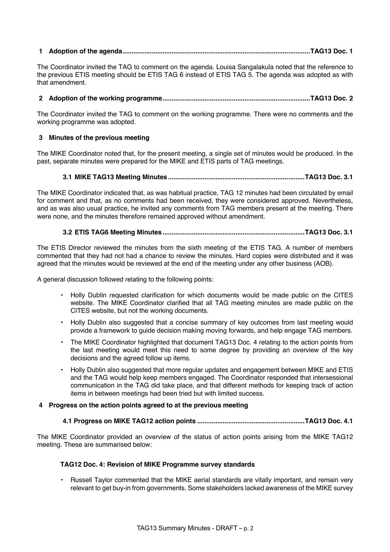# **1 Adoption of the agenda.......................................................................................................TAG13 Doc. 1**

The Coordinator invited the TAG to comment on the agenda. Louisa Sangalakula noted that the reference to the previous ETIS meeting should be ETIS TAG 6 instead of ETIS TAG 5. The agenda was adopted as with that amendment.

### **2 Adoption of the working programme.................................................................................TAG13 Doc. 2**

The Coordinator invited the TAG to comment on the working programme. There were no comments and the working programme was adopted.

# **3 Minutes of the previous meeting**

The MIKE Coordinator noted that, for the present meeting, a single set of minutes would be produced. In the past, separate minutes were prepared for the MIKE and ETIS parts of TAG meetings.

### **3.1 MIKE TAG13 Meeting Minutes...........................................................................TAG13 Doc. 3.1**

The MIKE Coordinator indicated that, as was habitual practice, TAG 12 minutes had been circulated by email for comment and that, as no comments had been received, they were considered approved. Nevertheless, and as was also usual practice, he invited any comments from TAG members present at the meeting. There were none, and the minutes therefore remained approved without amendment.

# **3.2 ETIS TAG6 Meeting Minutes..............................................................................TAG13 Doc. 3.1**

The ETIS Director reviewed the minutes from the sixth meeting of the ETIS TAG. A number of members commented that they had not had a chance to review the minutes. Hard copies were distributed and it was agreed that the minutes would be reviewed at the end of the meeting under any other business (AOB).

A general discussion followed relating to the following points:

- Holly Dublin requested clarification for which documents would be made public on the CITES website. The MIKE Coordinator clarified that all TAG meeting minutes are made public on the CITES website, but not the working documents.
- Holly Dublin also suggested that a concise summary of key outcomes from last meeting would provide a framework to guide decision making moving forwards, and help engage TAG members.
- The MIKE Coordinator highlighted that document TAG13 Doc. 4 relating to the action points from the last meeting would meet this need to some degree by providing an overview of the key decisions and the agreed follow up items.
- Holly Dublin also suggested that more regular updates and engagement between MIKE and ETIS and the TAG would help keep members engaged. The Coordinator responded that intersessional communication in the TAG did take place, and that different methods for keeping track of action items in between meetings had been tried but with limited success.

### **4 Progress on the action points agreed to at the previous meeting**

### **4.1 Progress on MIKE TAG12 action points ...........................................................TAG13 Doc. 4.1**

The MIKE Coordinator provided an overview of the status of action points arising from the MIKE TAG12 meeting. These are summarised below:

### **TAG12 Doc. 4: Revision of MIKE Programme survey standards**

• Russell Taylor commented that the MIKE aerial standards are vitally important, and remain very relevant to get buy-in from governments. Some stakeholders lacked awareness of the MIKE survey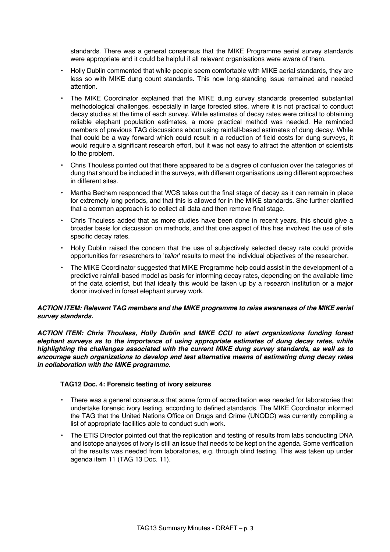standards. There was a general consensus that the MIKE Programme aerial survey standards were appropriate and it could be helpful if all relevant organisations were aware of them.

- Holly Dublin commented that while people seem comfortable with MIKE aerial standards, they are less so with MIKE dung count standards. This now long-standing issue remained and needed attention.
- The MIKE Coordinator explained that the MIKE dung survey standards presented substantial methodological challenges, especially in large forested sites, where it is not practical to conduct decay studies at the time of each survey. While estimates of decay rates were critical to obtaining reliable elephant population estimates, a more practical method was needed. He reminded members of previous TAG discussions about using rainfall-based estimates of dung decay. While that could be a way forward which could result in a reduction of field costs for dung surveys, it would require a significant research effort, but it was not easy to attract the attention of scientists to the problem.
- Chris Thouless pointed out that there appeared to be a degree of confusion over the categories of dung that should be included in the surveys, with different organisations using different approaches in different sites.
- Martha Bechem responded that WCS takes out the final stage of decay as it can remain in place for extremely long periods, and that this is allowed for in the MIKE standards. She further clarified that a common approach is to collect all data and then remove final stage.
- Chris Thouless added that as more studies have been done in recent years, this should give a broader basis for discussion on methods, and that one aspect of this has involved the use of site specific decay rates.
- Holly Dublin raised the concern that the use of subjectively selected decay rate could provide opportunities for researchers to '*tailor*' results to meet the individual objectives of the researcher.
- The MIKE Coordinator suggested that MIKE Programme help could assist in the development of a predictive rainfall-based model as basis for informing decay rates, depending on the available time of the data scientist, but that ideally this would be taken up by a research institution or a major donor involved in forest elephant survey work.

### *ACTION ITEM: Relevant TAG members and the MIKE programme to raise awareness of the MIKE aerial survey standards.*

*ACTION ITEM: Chris Thouless, Holly Dublin and MIKE CCU to alert organizations funding forest elephant surveys as to the importance of using appropriate estimates of dung decay rates, while highlighting the challenges associated with the current MIKE dung survey standards, as well as to encourage such organizations to develop and test alternative means of estimating dung decay rates in collaboration with the MIKE programme.*

### **TAG12 Doc. 4: Forensic testing of ivory seizures**

- There was a general consensus that some form of accreditation was needed for laboratories that undertake forensic ivory testing, according to defined standards. The MIKE Coordinator informed the TAG that the United Nations Office on Drugs and Crime (UNODC) was currently compiling a list of appropriate facilities able to conduct such work.
- The ETIS Director pointed out that the replication and testing of results from labs conducting DNA and isotope analyses of ivory is still an issue that needs to be kept on the agenda. Some verification of the results was needed from laboratories, e.g. through blind testing. This was taken up under agenda item 11 (TAG 13 Doc. 11).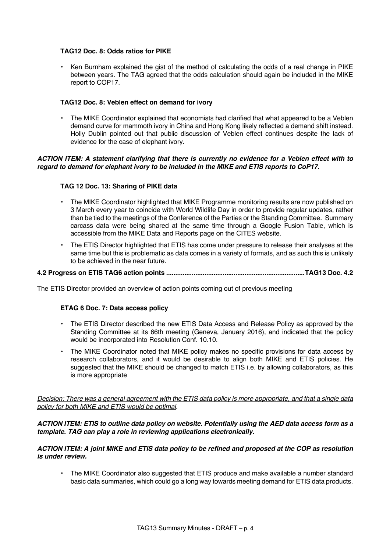### **TAG12 Doc. 8: Odds ratios for PIKE**

• Ken Burnham explained the gist of the method of calculating the odds of a real change in PIKE between years. The TAG agreed that the odds calculation should again be included in the MIKE report to COP17.

### **TAG12 Doc. 8: Veblen effect on demand for ivory**

• The MIKE Coordinator explained that economists had clarified that what appeared to be a Veblen demand curve for mammoth ivory in China and Hong Kong likely reflected a demand shift instead. Holly Dublin pointed out that public discussion of Veblen effect continues despite the lack of evidence for the case of elephant ivory.

### *ACTION ITEM: A statement clarifying that there is currently no evidence for a Veblen effect with to regard to demand for elephant ivory to be included in the MIKE and ETIS reports to CoP17.*

### **TAG 12 Doc. 13: Sharing of PIKE data**

- The MIKE Coordinator highlighted that MIKE Programme monitoring results are now published on 3 March every year to coincide with World Wildlife Day in order to provide regular updates, rather than be tied to the meetings of the Conference of the Parties or the Standing Committee. Summary carcass data were being shared at the same time through a Google Fusion Table, which is accessible from the MIKE Data and Reports page on the CITES website.
- The ETIS Director highlighted that ETIS has come under pressure to release their analyses at the same time but this is problematic as data comes in a variety of formats, and as such this is unlikely to be achieved in the near future.

#### **4.2 Progress on ETIS TAG6 action points ............................................................................TAG13 Doc. 4.2**

The ETIS Director provided an overview of action points coming out of previous meeting

#### **ETAG 6 Doc. 7: Data access policy**

- The ETIS Director described the new ETIS Data Access and Release Policy as approved by the Standing Committee at its 66th meeting (Geneva, January 2016), and indicated that the policy would be incorporated into Resolution Conf. 10.10.
- The MIKE Coordinator noted that MIKE policy makes no specific provisions for data access by research collaborators, and it would be desirable to align both MIKE and ETIS policies. He suggested that the MIKE should be changed to match ETIS i.e. by allowing collaborators, as this is more appropriate

*Decision: There was a general agreement with the ETIS data policy is more appropriate, and that a single data policy for both MIKE and ETIS would be optimal*.

### *ACTION ITEM: ETIS to outline data policy on website. Potentially using the AED data access form as a template. TAG can play a role in reviewing applications electronically.*

### *ACTION ITEM: A joint MIKE and ETIS data policy to be refined and proposed at the COP as resolution is under review.*

• The MIKE Coordinator also suggested that ETIS produce and make available a number standard basic data summaries, which could go a long way towards meeting demand for ETIS data products.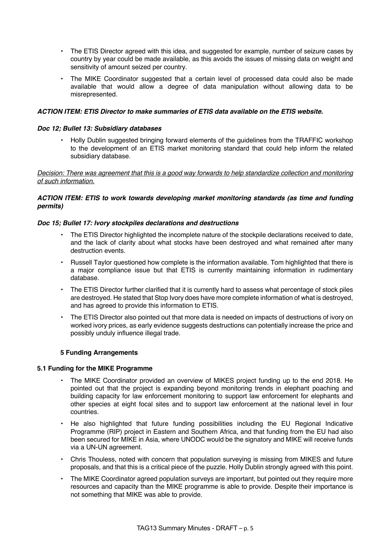- The ETIS Director agreed with this idea, and suggested for example, number of seizure cases by country by year could be made available, as this avoids the issues of missing data on weight and sensitivity of amount seized per country.
- The MIKE Coordinator suggested that a certain level of processed data could also be made available that would allow a degree of data manipulation without allowing data to be misrepresented.

# *ACTION ITEM: ETIS Director to make summaries of ETIS data available on the ETIS website.*

### *Doc 12; Bullet 13: Subsidiary databases*

• Holly Dublin suggested bringing forward elements of the guidelines from the TRAFFIC workshop to the development of an ETIS market monitoring standard that could help inform the related subsidiary database.

### *Decision: There was agreement that this is a good way forwards to help standardize collection and monitoring of such information.*

# *ACTION ITEM: ETIS to work towards developing market monitoring standards (as time and funding permits)*

# *Doc 15; Bullet 17: Ivory stockpiles declarations and destructions*

- The ETIS Director highlighted the incomplete nature of the stockpile declarations received to date, and the lack of clarity about what stocks have been destroyed and what remained after many destruction events.
- Russell Taylor questioned how complete is the information available. Tom highlighted that there is a major compliance issue but that ETIS is currently maintaining information in rudimentary database.
- The ETIS Director further clarified that it is currently hard to assess what percentage of stock piles are destroyed. He stated that Stop Ivory does have more complete information of what is destroyed, and has agreed to provide this information to ETIS.
- The ETIS Director also pointed out that more data is needed on impacts of destructions of ivory on worked ivory prices, as early evidence suggests destructions can potentially increase the price and possibly unduly influence illegal trade.

# **5 Funding Arrangements**

### **5.1 Funding for the MIKE Programme**

- The MIKE Coordinator provided an overview of MIKES project funding up to the end 2018. He pointed out that the project is expanding beyond monitoring trends in elephant poaching and building capacity for law enforcement monitoring to support law enforcement for elephants and other species at eight focal sites and to support law enforcement at the national level in four countries.
- He also highlighted that future funding possibilities including the EU Regional Indicative Programme (RIP) project in Eastern and Southern Africa, and that funding from the EU had also been secured for MIKE in Asia, where UNODC would be the signatory and MIKE will receive funds via a UN-UN agreement.
- Chris Thouless, noted with concern that population surveying is missing from MIKES and future proposals, and that this is a critical piece of the puzzle. Holly Dublin strongly agreed with this point.
- The MIKE Coordinator agreed population surveys are important, but pointed out they require more resources and capacity than the MIKE programme is able to provide. Despite their importance is not something that MIKE was able to provide.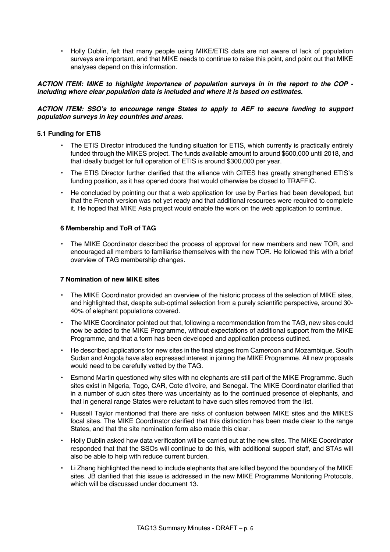• Holly Dublin, felt that many people using MIKE/ETIS data are not aware of lack of population surveys are important, and that MIKE needs to continue to raise this point, and point out that MIKE analyses depend on this information.

### *ACTION ITEM: MIKE to highlight importance of population surveys in in the report to the COP including where clear population data is included and where it is based on estimates.*

### *ACTION ITEM: SSO's to encourage range States to apply to AEF to secure funding to support population surveys in key countries and areas.*

### **5.1 Funding for ETIS**

- The ETIS Director introduced the funding situation for ETIS, which currently is practically entirely funded through the MIKES project. The funds available amount to around \$600,000 until 2018, and that ideally budget for full operation of ETIS is around \$300,000 per year.
- The ETIS Director further clarified that the alliance with CITES has greatly strengthened ETIS's funding position, as it has opened doors that would otherwise be closed to TRAFFIC.
- He concluded by pointing our that a web application for use by Parties had been developed, but that the French version was not yet ready and that additional resources were required to complete it. He hoped that MIKE Asia project would enable the work on the web application to continue.

### **6 Membership and ToR of TAG**

• The MIKE Coordinator described the process of approval for new members and new TOR, and encouraged all members to familiarise themselves with the new TOR. He followed this with a brief overview of TAG membership changes.

### **7 Nomination of new MIKE sites**

- The MIKE Coordinator provided an overview of the historic process of the selection of MIKE sites, and highlighted that, despite sub-optimal selection from a purely scientific perspective, around 30- 40% of elephant populations covered.
- The MIKE Coordinator pointed out that, following a recommendation from the TAG, new sites could now be added to the MIKE Programme, without expectations of additional support from the MIKE Programme, and that a form has been developed and application process outlined.
- He described applications for new sites in the final stages from Cameroon and Mozambique. South Sudan and Angola have also expressed interest in joining the MIKE Programme. All new proposals would need to be carefully vetted by the TAG.
- Esmond Martin questioned why sites with no elephants are still part of the MIKE Programme. Such sites exist in Nigeria, Togo, CAR, Cote d'Ivoire, and Senegal. The MIKE Coordinator clarified that in a number of such sites there was uncertainty as to the continued presence of elephants, and that in general range States were reluctant to have such sites removed from the list.
- Russell Taylor mentioned that there are risks of confusion between MIKE sites and the MIKES focal sites. The MIKE Coordinator clarified that this distinction has been made clear to the range States, and that the site nomination form also made this clear.
- Holly Dublin asked how data verification will be carried out at the new sites. The MIKE Coordinator responded that that the SSOs will continue to do this, with additional support staff, and STAs will also be able to help with reduce current burden.
- Li Zhang highlighted the need to include elephants that are killed beyond the boundary of the MIKE sites. JB clarified that this issue is addressed in the new MIKE Programme Monitoring Protocols, which will be discussed under document 13.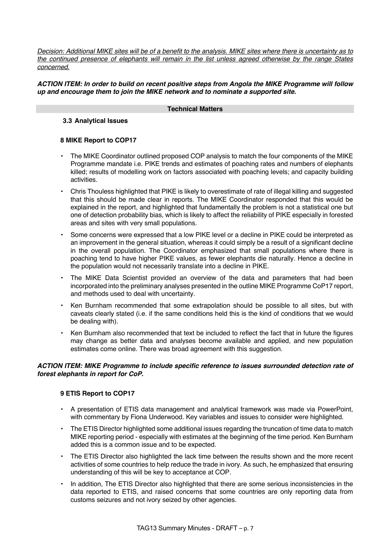*Decision: Additional MIKE sites will be of a benefit to the analysis. MIKE sites where there is uncertainty as to the continued presence of elephants will remain in the list unless agreed otherwise by the range States concerned.*

### *ACTION ITEM: In order to build on recent positive steps from Angola the MIKE Programme will follow up and encourage them to join the MIKE network and to nominate a supported site.*

#### **Technical Matters**

# **3.3 Analytical Issues**

### **8 MIKE Report to COP17**

- The MIKE Coordinator outlined proposed COP analysis to match the four components of the MIKE Programme mandate i.e. PIKE trends and estimates of poaching rates and numbers of elephants killed; results of modelling work on factors associated with poaching levels; and capacity building activities.
- Chris Thouless highlighted that PIKE is likely to overestimate of rate of illegal killing and suggested that this should be made clear in reports. The MIKE Coordinator responded that this would be explained in the report, and highlighted that fundamentally the problem is not a statistical one but one of detection probability bias, which is likely to affect the reliability of PIKE especially in forested areas and sites with very small populations.
- Some concerns were expressed that a low PIKE level or a decline in PIKE could be interpreted as an improvement in the general situation, whereas it could simply be a result of a significant decline in the overall population. The Coordinator emphasized that small populations where there is poaching tend to have higher PIKE values, as fewer elephants die naturally. Hence a decline in the population would not necessarily translate into a decline in PIKE.
- The MIKE Data Scientist provided an overview of the data and parameters that had been incorporated into the preliminary analyses presented in the outline MIKE Programme CoP17 report, and methods used to deal with uncertainty.
- Ken Burnham recommended that some extrapolation should be possible to all sites, but with caveats clearly stated (i.e. if the same conditions held this is the kind of conditions that we would be dealing with).
- Ken Burnham also recommended that text be included to reflect the fact that in future the figures may change as better data and analyses become available and applied, and new population estimates come online. There was broad agreement with this suggestion.

### *ACTION ITEM: MIKE Programme to include specific reference to issues surrounded detection rate of forest elephants in report for CoP.*

### **9 ETIS Report to COP17**

- A presentation of ETIS data management and analytical framework was made via PowerPoint, with commentary by Fiona Underwood. Key variables and issues to consider were highlighted.
- The ETIS Director highlighted some additional issues regarding the truncation of time data to match MIKE reporting period - especially with estimates at the beginning of the time period. Ken Burnham added this is a common issue and to be expected.
- The ETIS Director also highlighted the lack time between the results shown and the more recent activities of some countries to help reduce the trade in ivory. As such, he emphasized that ensuring understanding of this will be key to acceptance at COP.
- In addition, The ETIS Director also highlighted that there are some serious inconsistencies in the data reported to ETIS, and raised concerns that some countries are only reporting data from customs seizures and not ivory seized by other agencies.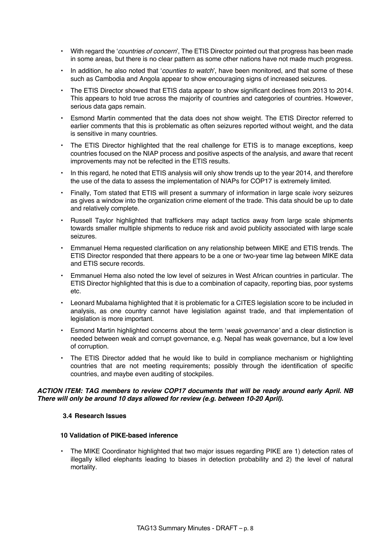- With regard the '*countries of concern*', The ETIS Director pointed out that progress has been made in some areas, but there is no clear pattern as some other nations have not made much progress.
- In addition, he also noted that '*counties to watch*', have been monitored, and that some of these such as Cambodia and Angola appear to show encouraging signs of increased seizures.
- The ETIS Director showed that ETIS data appear to show significant declines from 2013 to 2014. This appears to hold true across the majority of countries and categories of countries. However, serious data gaps remain.
- Esmond Martin commented that the data does not show weight. The ETIS Director referred to earlier comments that this is problematic as often seizures reported without weight, and the data is sensitive in many countries.
- The ETIS Director highlighted that the real challenge for ETIS is to manage exceptions, keep countries focused on the NIAP process and positive aspects of the analysis, and aware that recent improvements may not be refeclted in the ETIS results.
- In this regard, he noted that ETIS analysis will only show trends up to the year 2014, and therefore the use of the data to assess the implementation of NIAPs for COP17 is extremely limited.
- Finally, Tom stated that ETIS will present a summary of information in large scale ivory seizures as gives a window into the organization crime element of the trade. This data should be up to date and relatively complete.
- Russell Taylor highlighted that traffickers may adapt tactics away from large scale shipments towards smaller multiple shipments to reduce risk and avoid publicity associated with large scale seizures.
- Emmanuel Hema requested clarification on any relationship between MIKE and ETIS trends. The ETIS Director responded that there appears to be a one or two-year time lag between MIKE data and ETIS secure records.
- Emmanuel Hema also noted the low level of seizures in West African countries in particular. The ETIS Director highlighted that this is due to a combination of capacity, reporting bias, poor systems etc.
- Leonard Mubalama highlighted that it is problematic for a CITES legislation score to be included in analysis, as one country cannot have legislation against trade, and that implementation of legislation is more important.
- Esmond Martin highlighted concerns about the term '*weak governance'* and a clear distinction is needed between weak and corrupt governance, e.g. Nepal has weak governance, but a low level of corruption.
- The ETIS Director added that he would like to build in compliance mechanism or highlighting countries that are not meeting requirements; possibly through the identification of specific countries, and maybe even auditing of stockpiles.

### *ACTION ITEM: TAG members to review COP17 documents that will be ready around early April. NB There will only be around 10 days allowed for review (e.g. between 10-20 April).*

### **3.4 Research Issues**

### **10 Validation of PIKE-based inference**

• The MIKE Coordinator highlighted that two major issues regarding PIKE are 1) detection rates of illegally killed elephants leading to biases in detection probability and 2) the level of natural mortality.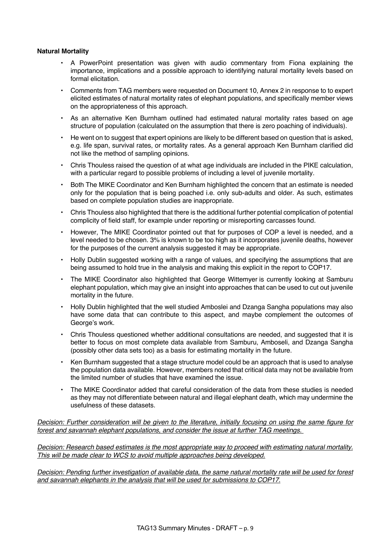#### **Natural Mortality**

- A PowerPoint presentation was given with audio commentary from Fiona explaining the importance, implications and a possible approach to identifying natural mortality levels based on formal elicitation.
- Comments from TAG members were requested on Document 10, Annex 2 in response to to expert elicited estimates of natural mortality rates of elephant populations, and specifically member views on the appropriateness of this approach.
- As an alternative Ken Burnham outlined had estimated natural mortality rates based on age structure of population (calculated on the assumption that there is zero poaching of individuals).
- He went on to suggest that expert opinions are likely to be different based on question that is asked, e.g. life span, survival rates, or mortality rates. As a general approach Ken Burnham clarified did not like the method of sampling opinions.
- Chris Thouless raised the question of at what age individuals are included in the PIKE calculation, with a particular regard to possible problems of including a level of juvenile mortality.
- Both The MIKE Coordinator and Ken Burnham highlighted the concern that an estimate is needed only for the population that is being poached i.e. only sub-adults and older. As such, estimates based on complete population studies are inappropriate.
- Chris Thouless also highlighted that there is the additional further potential complication of potential complicity of field staff, for example under reporting or misreporting carcasses found.
- However, The MIKE Coordinator pointed out that for purposes of COP a level is needed, and a level needed to be chosen. 3% is known to be too high as it incorporates juvenile deaths, however for the purposes of the current analysis suggested it may be appropriate.
- Holly Dublin suggested working with a range of values, and specifying the assumptions that are being assumed to hold true in the analysis and making this explicit in the report to COP17.
- The MIKE Coordinator also highlighted that George Wittemyer is currently looking at Samburu elephant population, which may give an insight into approaches that can be used to cut out juvenile mortality in the future.
- Holly Dublin highlighted that the well studied Amboslei and Dzanga Sangha populations may also have some data that can contribute to this aspect, and maybe complement the outcomes of George's work.
- Chris Thouless questioned whether additional consultations are needed, and suggested that it is better to focus on most complete data available from Samburu, Amboseli, and Dzanga Sangha (possibly other data sets too) as a basis for estimating mortality in the future.
- Ken Burnham suggested that a stage structure model could be an approach that is used to analyse the population data available. However, members noted that critical data may not be available from the limited number of studies that have examined the issue.
- The MIKE Coordinator added that careful consideration of the data from these studies is needed as they may not differentiate between natural and illegal elephant death, which may undermine the usefulness of these datasets.

*Decision: Further consideration will be given to the literature, initially focusing on using the same figure for forest and savannah elephant populations, and consider the issue at further TAG meetings.*

*Decision: Research based estimates is the most appropriate way to proceed with estimating natural mortality. This will be made clear to WCS to avoid multiple approaches being developed.*

*Decision: Pending further investigation of available data, the same natural mortality rate will be used for forest and savannah elephants in the analysis that will be used for submissions to COP17.*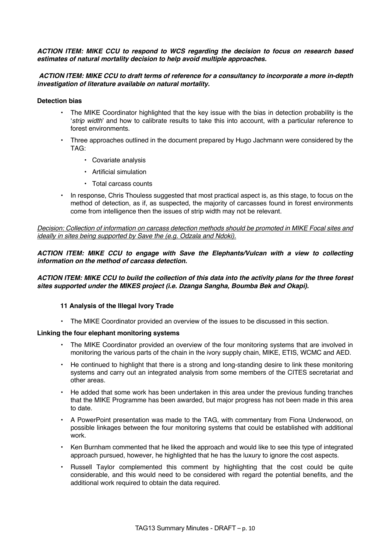*ACTION ITEM: MIKE CCU to respond to WCS regarding the decision to focus on research based estimates of natural mortality decision to help avoid multiple approaches.*

*ACTION ITEM: MIKE CCU to draft terms of reference for a consultancy to incorporate a more in-depth investigation of literature available on natural mortality.*

#### **Detection bias**

- The MIKE Coordinator highlighted that the key issue with the bias in detection probability is the '*strip width*' and how to calibrate results to take this into account, with a particular reference to forest environments.
- Three approaches outlined in the document prepared by Hugo Jachmann were considered by the TAG:
	- Covariate analysis
	- Artificial simulation
	- Total carcass counts
- In response, Chris Thouless suggested that most practical aspect is, as this stage, to focus on the method of detection, as if, as suspected, the majority of carcasses found in forest environments come from intelligence then the issues of strip width may not be relevant.

*Decision: Collection of information on carcass detection methods should be promoted in MIKE Focal sites and ideally in sites being supported by Save the (e.g. Odzala and Ndoki).*

*ACTION ITEM: MIKE CCU to engage with Save the Elephants/Vulcan with a view to collecting information on the method of carcass detection.*

### *ACTION ITEM: MIKE CCU to build the collection of this data into the activity plans for the three forest sites supported under the MIKES project (i.e. Dzanga Sangha, Boumba Bek and Okapi).*

#### **11 Analysis of the Illegal Ivory Trade**

• The MIKE Coordinator provided an overview of the issues to be discussed in this section.

#### **Linking the four elephant monitoring systems**

- The MIKE Coordinator provided an overview of the four monitoring systems that are involved in monitoring the various parts of the chain in the ivory supply chain, MIKE, ETIS, WCMC and AED.
- He continued to highlight that there is a strong and long-standing desire to link these monitoring systems and carry out an integrated analysis from some members of the CITES secretariat and other areas.
- He added that some work has been undertaken in this area under the previous funding tranches that the MIKE Programme has been awarded, but major progress has not been made in this area to date.
- A PowerPoint presentation was made to the TAG, with commentary from Fiona Underwood, on possible linkages between the four monitoring systems that could be established with additional work.
- Ken Burnham commented that he liked the approach and would like to see this type of integrated approach pursued, however, he highlighted that he has the luxury to ignore the cost aspects.
- Russell Taylor complemented this comment by highlighting that the cost could be quite considerable, and this would need to be considered with regard the potential benefits, and the additional work required to obtain the data required.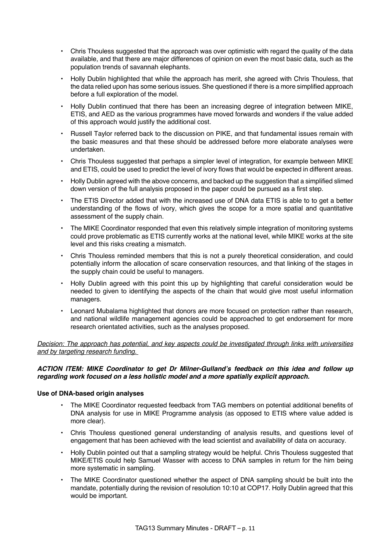- Chris Thouless suggested that the approach was over optimistic with regard the quality of the data available, and that there are major differences of opinion on even the most basic data, such as the population trends of savannah elephants.
- Holly Dublin highlighted that while the approach has merit, she agreed with Chris Thouless, that the data relied upon has some serious issues. She questioned if there is a more simplified approach before a full exploration of the model.
- Holly Dublin continued that there has been an increasing degree of integration between MIKE, ETIS, and AED as the various programmes have moved forwards and wonders if the value added of this approach would justify the additional cost.
- Russell Taylor referred back to the discussion on PIKE, and that fundamental issues remain with the basic measures and that these should be addressed before more elaborate analyses were undertaken.
- Chris Thouless suggested that perhaps a simpler level of integration, for example between MIKE and ETIS, could be used to predict the level of ivory flows that would be expected in different areas.
- Holly Dublin agreed with the above concerns, and backed up the suggestion that a simplified slimed down version of the full analysis proposed in the paper could be pursued as a first step.
- The ETIS Director added that with the increased use of DNA data ETIS is able to to get a better understanding of the flows of ivory, which gives the scope for a more spatial and quantitative assessment of the supply chain.
- The MIKE Coordinator responded that even this relatively simple integration of monitoring systems could prove problematic as ETIS currently works at the national level, while MIKE works at the site level and this risks creating a mismatch.
- Chris Thouless reminded members that this is not a purely theoretical consideration, and could potentially inform the allocation of scare conservation resources, and that linking of the stages in the supply chain could be useful to managers.
- Holly Dublin agreed with this point this up by highlighting that careful consideration would be needed to given to identifying the aspects of the chain that would give most useful information managers.
- Leonard Mubalama highlighted that donors are more focused on protection rather than research, and national wildlife management agencies could be approached to get endorsement for more research orientated activities, such as the analyses proposed.

*Decision: The approach has potential, and key aspects could be investigated through links with universities and by targeting research funding.*

### *ACTION ITEM: MIKE Coordinator to get Dr Milner-Gulland's feedback on this idea and follow up regarding work focused on a less holistic model and a more spatially explicit approach.*

### **Use of DNA-based origin analyses**

- The MIKE Coordinator requested feedback from TAG members on potential additional benefits of DNA analysis for use in MIKE Programme analysis (as opposed to ETIS where value added is more clear).
- Chris Thouless questioned general understanding of analysis results, and questions level of engagement that has been achieved with the lead scientist and availability of data on accuracy.
- Holly Dublin pointed out that a sampling strategy would be helpful. Chris Thouless suggested that MIKE/ETIS could help Samuel Wasser with access to DNA samples in return for the him being more systematic in sampling.
- The MIKE Coordinator questioned whether the aspect of DNA sampling should be built into the mandate, potentially during the revision of resolution 10:10 at COP17. Holly Dublin agreed that this would be important.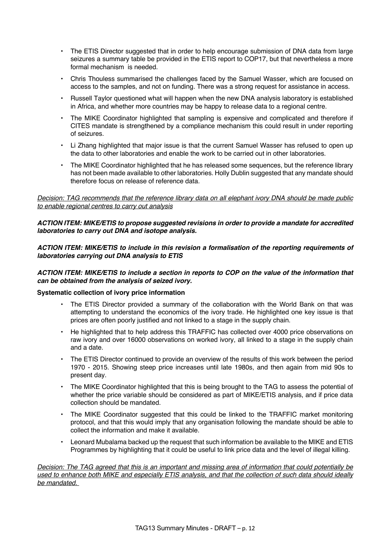- The ETIS Director suggested that in order to help encourage submission of DNA data from large seizures a summary table be provided in the ETIS report to COP17, but that nevertheless a more formal mechanism is needed.
- Chris Thouless summarised the challenges faced by the Samuel Wasser, which are focused on access to the samples, and not on funding. There was a strong request for assistance in access.
- Russell Taylor questioned what will happen when the new DNA analysis laboratory is established in Africa, and whether more countries may be happy to release data to a regional centre.
- The MIKE Coordinator highlighted that sampling is expensive and complicated and therefore if CITES mandate is strengthened by a compliance mechanism this could result in under reporting of seizures.
- Li Zhang highlighted that major issue is that the current Samuel Wasser has refused to open up the data to other laboratories and enable the work to be carried out in other laboratories.
- The MIKE Coordinator highlighted that he has released some sequences, but the reference library has not been made available to other laboratories. Holly Dublin suggested that any mandate should therefore focus on release of reference data.

# *Decision: TAG recommends that the reference library data on all elephant ivory DNA should be made public to enable regional centres to carry out analysis*

### *ACTION ITEM: MIKE/ETIS to propose suggested revisions in order to provide a mandate for accredited laboratories to carry out DNA and isotope analysis.*

# *ACTION ITEM: MIKE/ETIS to include in this revision a formalisation of the reporting requirements of laboratories carrying out DNA analysis to ETIS*

### *ACTION ITEM: MIKE/ETIS to include a section in reports to COP on the value of the information that can be obtained from the analysis of seized ivory.*

### **Systematic collection of ivory price information**

- The ETIS Director provided a summary of the collaboration with the World Bank on that was attempting to understand the economics of the ivory trade. He highlighted one key issue is that prices are often poorly justified and not linked to a stage in the supply chain.
- He highlighted that to help address this TRAFFIC has collected over 4000 price observations on raw ivory and over 16000 observations on worked ivory, all linked to a stage in the supply chain and a date.
- The ETIS Director continued to provide an overview of the results of this work between the period 1970 - 2015. Showing steep price increases until late 1980s, and then again from mid 90s to present day.
- The MIKE Coordinator highlighted that this is being brought to the TAG to assess the potential of whether the price variable should be considered as part of MIKE/ETIS analysis, and if price data collection should be mandated.
- The MIKE Coordinator suggested that this could be linked to the TRAFFIC market monitoring protocol, and that this would imply that any organisation following the mandate should be able to collect the information and make it available.
- Leonard Mubalama backed up the request that such information be available to the MIKE and ETIS Programmes by highlighting that it could be useful to link price data and the level of illegal killing.

*Decision: The TAG agreed that this is an important and missing area of information that could potentially be used to enhance both MIKE and especially ETIS analysis, and that the collection of such data should ideally be mandated.*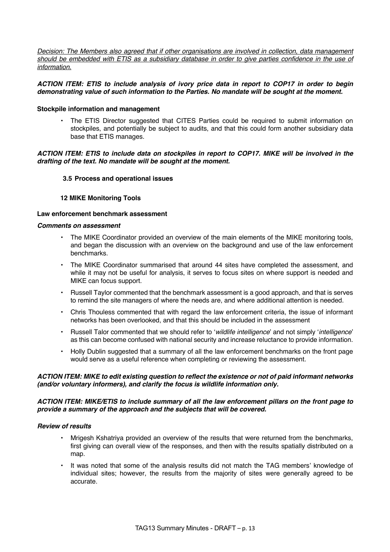*Decision: The Members also agreed that if other organisations are involved in collection, data management should be embedded with ETIS as a subsidiary database in order to give parties confidence in the use of information.*

### *ACTION ITEM: ETIS to include analysis of ivory price data in report to COP17 in order to begin demonstrating value of such information to the Parties. No mandate will be sought at the moment.*

### **Stockpile information and management**

• The ETIS Director suggested that CITES Parties could be required to submit information on stockpiles, and potentially be subject to audits, and that this could form another subsidiary data base that ETIS manages.

### *ACTION ITEM: ETIS to include data on stockpiles in report to COP17. MIKE will be involved in the drafting of the text. No mandate will be sought at the moment.*

### **3.5 Process and operational issues**

### **12 MIKE Monitoring Tools**

### **Law enforcement benchmark assessment**

#### *Comments on assessment*

- The MIKE Coordinator provided an overview of the main elements of the MIKE monitoring tools, and began the discussion with an overview on the background and use of the law enforcement benchmarks.
- The MIKE Coordinator summarised that around 44 sites have completed the assessment, and while it may not be useful for analysis, it serves to focus sites on where support is needed and MIKE can focus support.
- Russell Taylor commented that the benchmark assessment is a good approach, and that is serves to remind the site managers of where the needs are, and where additional attention is needed.
- Chris Thouless commented that with regard the law enforcement criteria, the issue of informant networks has been overlooked, and that this should be included in the assessment
- Russell Talor commented that we should refer to '*wildlife intelligence*' and not simply '*intelligence*' as this can become confused with national security and increase reluctance to provide information.
- Holly Dublin suggested that a summary of all the law enforcement benchmarks on the front page would serve as a useful reference when completing or reviewing the assessment.

### *ACTION ITEM: MIKE to edit existing question to reflect the existence or not of paid informant networks (and/or voluntary informers), and clarify the focus is wildlife information only.*

### *ACTION ITEM: MIKE/ETIS to include summary of all the law enforcement pillars on the front page to provide a summary of the approach and the subjects that will be covered.*

#### *Review of results*

- Mrigesh Kshatriya provided an overview of the results that were returned from the benchmarks, first giving can overall view of the responses, and then with the results spatially distributed on a map.
- It was noted that some of the analysis results did not match the TAG members' knowledge of individual sites; however, the results from the majority of sites were generally agreed to be accurate.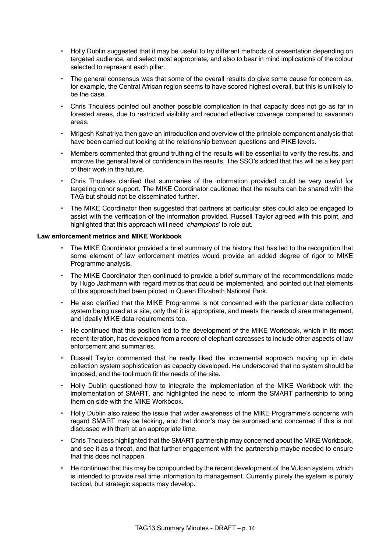- Holly Dublin suggested that it may be useful to try different methods of presentation depending on targeted audience, and select most appropriate, and also to bear in mind implications of the colour selected to represent each pillar.
- The general consensus was that some of the overall results do give some cause for concern as, for example, the Central African region seems to have scored highest overall, but this is unlikely to be the case.
- Chris Thouless pointed out another possible complication in that capacity does not go as far in forested areas, due to restricted visibility and reduced effective coverage compared to savannah areas.
- Mrigesh Kshatriya then gave an introduction and overview of the principle component analysis that have been carried out looking at the relationship between questions and PIKE levels.
- Members commented that ground truthing of the results will be essential to verify the results, and improve the general level of confidence in the results. The SSO's added that this will be a key part of their work in the future.
- Chris Thouless clarified that summaries of the information provided could be very useful for targeting donor support. The MIKE Coordinator cautioned that the results can be shared with the TAG but should not be disseminated further.
- The MIKE Coordinator then suggested that partners at particular sites could also be engaged to assist with the verification of the information provided. Russell Taylor agreed with this point, and highlighted that this approach will need '*champions*' to role out.

# **Law enforcement metrics and MIKE Workbook**

- The MIKE Coordinator provided a brief summary of the history that has led to the recognition that some element of law enforcement metrics would provide an added degree of rigor to MIKE Programme analysis.
- The MIKE Coordinator then continued to provide a brief summary of the recommendations made by Hugo Jachmann with regard metrics that could be implemented, and pointed out that elements of this approach had been piloted in Queen Elizabeth National Park.
- He also clarified that the MIKE Programme is not concerned with the particular data collection system being used at a site, only that it is appropriate, and meets the needs of area management, and ideally MIKE data requirements too.
- He continued that this position led to the development of the MIKE Workbook, which in its most recent iteration, has developed from a record of elephant carcasses to include other aspects of law enforcement and summaries.
- Russell Taylor commented that he really liked the incremental approach moving up in data collection system sophistication as capacity developed. He underscored that no system should be imposed, and the tool much fit the needs of the site.
- Holly Dublin questioned how to integrate the implementation of the MIKE Workbook with the implementation of SMART, and highlighted the need to inform the SMART partnership to bring them on side with the MIKE Workbook.
- Holly Dublin also raised the issue that wider awareness of the MIKE Programme's concerns with regard SMART may be lacking, and that donor's may be surprised and concerned if this is not discussed with them at an appropriate time.
- Chris Thouless highlighted that the SMART partnership may concerned about the MIKE Workbook, and see it as a threat, and that further engagement with the partnership maybe needed to ensure that this does not happen.
- He continued that this may be compounded by the recent development of the Vulcan system, which is intended to provide real time information to management. Currently purely the system is purely tactical, but strategic aspects may develop.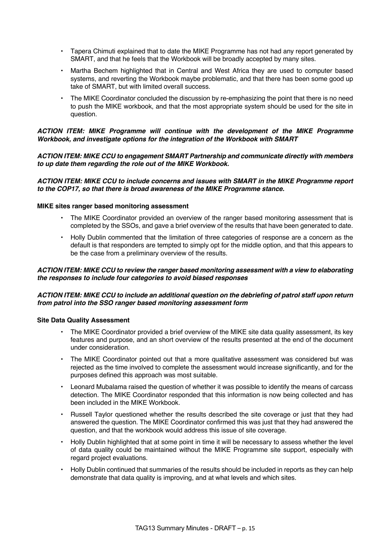- Tapera Chimuti explained that to date the MIKE Programme has not had any report generated by SMART, and that he feels that the Workbook will be broadly accepted by many sites.
- Martha Bechem highlighted that in Central and West Africa they are used to computer based systems, and reverting the Workbook maybe problematic, and that there has been some good up take of SMART, but with limited overall success.
- The MIKE Coordinator concluded the discussion by re-emphasizing the point that there is no need to push the MIKE workbook, and that the most appropriate system should be used for the site in question.

# *ACTION ITEM: MIKE Programme will continue with the development of the MIKE Programme Workbook, and investigate options for the integration of the Workbook with SMART*

### *ACTION ITEM: MIKE CCU to engagement SMART Partnership and communicate directly with members to up date them regarding the role out of the MIKE Workbook.*

### *ACTION ITEM: MIKE CCU to include concerns and issues with SMART in the MIKE Programme report to the COP17, so that there is broad awareness of the MIKE Programme stance.*

### **MIKE sites ranger based monitoring assessment**

- The MIKE Coordinator provided an overview of the ranger based monitoring assessment that is completed by the SSOs, and gave a brief overview of the results that have been generated to date.
- Holly Dublin commented that the limitation of three categories of response are a concern as the default is that responders are tempted to simply opt for the middle option, and that this appears to be the case from a preliminary overview of the results.

### *ACTION ITEM: MIKE CCU to review the ranger based monitoring assessment with a view to elaborating the responses to include four categories to avoid biased responses*

### *ACTION ITEM: MIKE CCU to include an additional question on the debriefing of patrol staff upon return from patrol into the SSO ranger based monitoring assessment form*

### **Site Data Quality Assessment**

- The MIKE Coordinator provided a brief overview of the MIKE site data quality assessment, its key features and purpose, and an short overview of the results presented at the end of the document under consideration.
- The MIKE Coordinator pointed out that a more qualitative assessment was considered but was rejected as the time involved to complete the assessment would increase significantly, and for the purposes defined this approach was most suitable.
- Leonard Mubalama raised the question of whether it was possible to identify the means of carcass detection. The MIKE Coordinator responded that this information is now being collected and has been included in the MIKE Workbook.
- Russell Taylor questioned whether the results described the site coverage or just that they had answered the question. The MIKE Coordinator confirmed this was just that they had answered the question, and that the workbook would address this issue of site coverage.
- Holly Dublin highlighted that at some point in time it will be necessary to assess whether the level of data quality could be maintained without the MIKE Programme site support, especially with regard project evaluations.
- Holly Dublin continued that summaries of the results should be included in reports as they can help demonstrate that data quality is improving, and at what levels and which sites.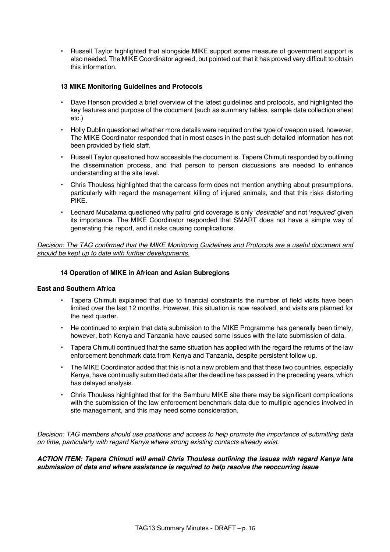• Russell Taylor highlighted that alongside MIKE support some measure of government support is also needed. The MIKE Coordinator agreed, but pointed out that it has proved very difficult to obtain this information.

# **13 MIKE Monitoring Guidelines and Protocols**

- Dave Henson provided a brief overview of the latest guidelines and protocols, and highlighted the key features and purpose of the document (such as summary tables, sample data collection sheet etc.)
- Holly Dublin questioned whether more details were required on the type of weapon used, however, The MIKE Coordinator responded that in most cases in the past such detailed information has not been provided by field staff.
- Russell Taylor questioned how accessible the document is. Tapera Chimuti responded by outlining the dissemination process, and that person to person discussions are needed to enhance understanding at the site level.
- Chris Thouless highlighted that the carcass form does not mention anything about presumptions, particularly with regard the management killing of injured animals, and that this risks distorting PIKE.
- Leonard Mubalama questioned why patrol grid coverage is only '*desirable*' and not '*required*' given its importance. The MIKE Coordinator responded that SMART does not have a simple way of generating this report, and it risks causing complications.

*Decision: The TAG confirmed that the MIKE Monitoring Guidelines and Protocols are a useful document and should be kept up to date with further developments.* 

# **14 Operation of MIKE in African and Asian Subregions**

### **East and Southern Africa**

- Tapera Chimuti explained that due to financial constraints the number of field visits have been limited over the last 12 months. However, this situation is now resolved, and visits are planned for the next quarter.
- He continued to explain that data submission to the MIKE Programme has generally been timely, however, both Kenya and Tanzania have caused some issues with the late submission of data.
- Tapera Chimuti continued that the same situation has applied with the regard the returns of the law enforcement benchmark data from Kenya and Tanzania, despite persistent follow up.
- The MIKE Coordinator added that this is not a new problem and that these two countries, especially Kenya, have continually submitted data after the deadline has passed in the preceding years, which has delayed analysis.
- Chris Thouless highlighted that for the Samburu MIKE site there may be significant complications with the submission of the law enforcement benchmark data due to multiple agencies involved in site management, and this may need some consideration.

*Decision: TAG members should use positions and access to help promote the importance of submitting data on time, particularly with regard Kenya where strong existing contacts already exist*.

*ACTION ITEM: Tapera Chimuti will email Chris Thouless outlining the issues with regard Kenya late submission of data and where assistance is required to help resolve the reoccurring issue*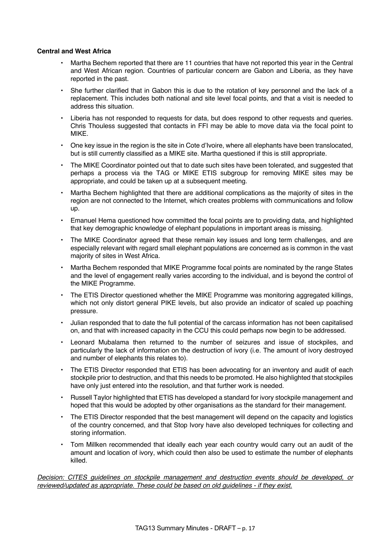### **Central and West Africa**

- Martha Bechem reported that there are 11 countries that have not reported this year in the Central and West African region. Countries of particular concern are Gabon and Liberia, as they have reported in the past.
- She further clarified that in Gabon this is due to the rotation of key personnel and the lack of a replacement. This includes both national and site level focal points, and that a visit is needed to address this situation.
- Liberia has not responded to requests for data, but does respond to other requests and queries. Chris Thouless suggested that contacts in FFI may be able to move data via the focal point to MIKE.
- One key issue in the region is the site in Cote d'Ivoire, where all elephants have been translocated, but is still currently classified as a MIKE site. Martha questioned if this is still appropriate.
- The MIKE Coordinator pointed out that to date such sites have been tolerated, and suggested that perhaps a process via the TAG or MIKE ETIS subgroup for removing MIKE sites may be appropriate, and could be taken up at a subsequent meeting.
- Martha Bechem highlighted that there are additional complications as the majority of sites in the region are not connected to the Internet, which creates problems with communications and follow up.
- Emanuel Hema questioned how committed the focal points are to providing data, and highlighted that key demographic knowledge of elephant populations in important areas is missing.
- The MIKE Coordinator agreed that these remain key issues and long term challenges, and are especially relevant with regard small elephant populations are concerned as is common in the vast majority of sites in West Africa.
- Martha Bechem responded that MIKE Programme focal points are nominated by the range States and the level of engagement really varies according to the individual, and is beyond the control of the MIKE Programme.
- The ETIS Director questioned whether the MIKE Programme was monitoring aggregated killings, which not only distort general PIKE levels, but also provide an indicator of scaled up poaching pressure.
- Julian responded that to date the full potential of the carcass information has not been capitalised on, and that with increased capacity in the CCU this could perhaps now begin to be addressed.
- Leonard Mubalama then returned to the number of seizures and issue of stockpiles, and particularly the lack of information on the destruction of ivory (i.e. The amount of ivory destroyed and number of elephants this relates to).
- The ETIS Director responded that ETIS has been advocating for an inventory and audit of each stockpile prior to destruction, and that this needs to be promoted. He also highlighted that stockpiles have only just entered into the resolution, and that further work is needed.
- Russell Taylor highlighted that ETIS has developed a standard for ivory stockpile management and hoped that this would be adopted by other organisations as the standard for their management.
- The ETIS Director responded that the best management will depend on the capacity and logistics of the country concerned, and that Stop Ivory have also developed techniques for collecting and storing information.
- Tom Millken recommended that ideally each year each country would carry out an audit of the amount and location of ivory, which could then also be used to estimate the number of elephants killed.

*Decision: CITES guidelines on stockpile management and destruction events should be developed, or reviewed/updated as appropriate. These could be based on old guidelines - if they exist.*